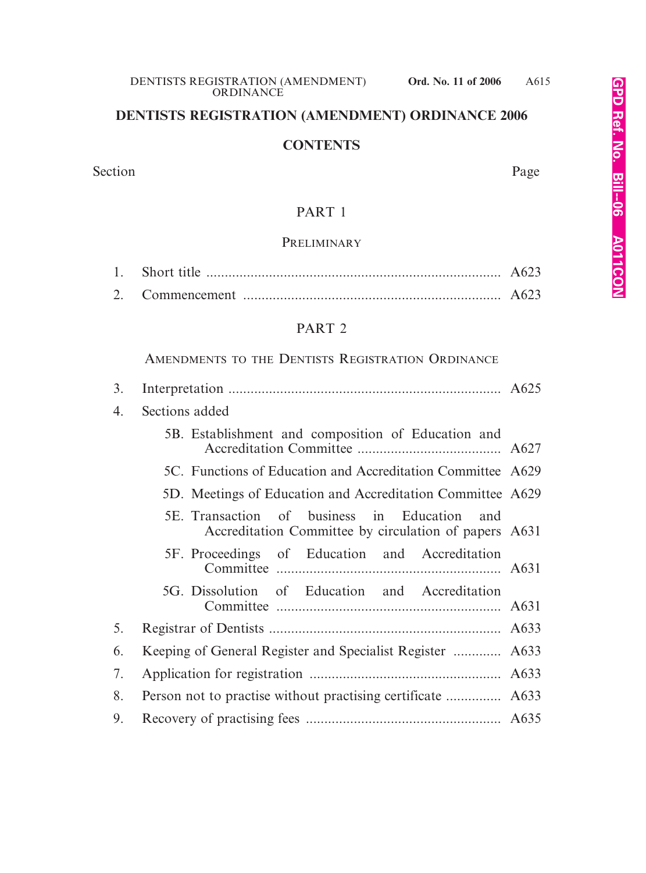# **DENTISTS REGISTRATION (AMENDMENT) ORDINANCE 2006**

#### **CONTENTS**

Section Page

# PART 1

#### **PRELIMINARY**

#### PART 2

### AMENDMENTS TO THE DENTISTS REGISTRATION ORDINANCE

| 3. |                                                                                                          |  |
|----|----------------------------------------------------------------------------------------------------------|--|
| 4. | Sections added                                                                                           |  |
|    | 5B. Establishment and composition of Education and                                                       |  |
|    | 5C. Functions of Education and Accreditation Committee A629                                              |  |
|    | 5D. Meetings of Education and Accreditation Committee A629                                               |  |
|    | 5E. Transaction of business in Education<br>and<br>Accreditation Committee by circulation of papers A631 |  |
|    | 5F. Proceedings of Education and Accreditation                                                           |  |
|    | 5G. Dissolution of Education and Accreditation                                                           |  |
| 5. |                                                                                                          |  |
| 6. | Keeping of General Register and Specialist Register  A633                                                |  |
| 7. |                                                                                                          |  |
| 8. |                                                                                                          |  |
| 9. |                                                                                                          |  |
|    |                                                                                                          |  |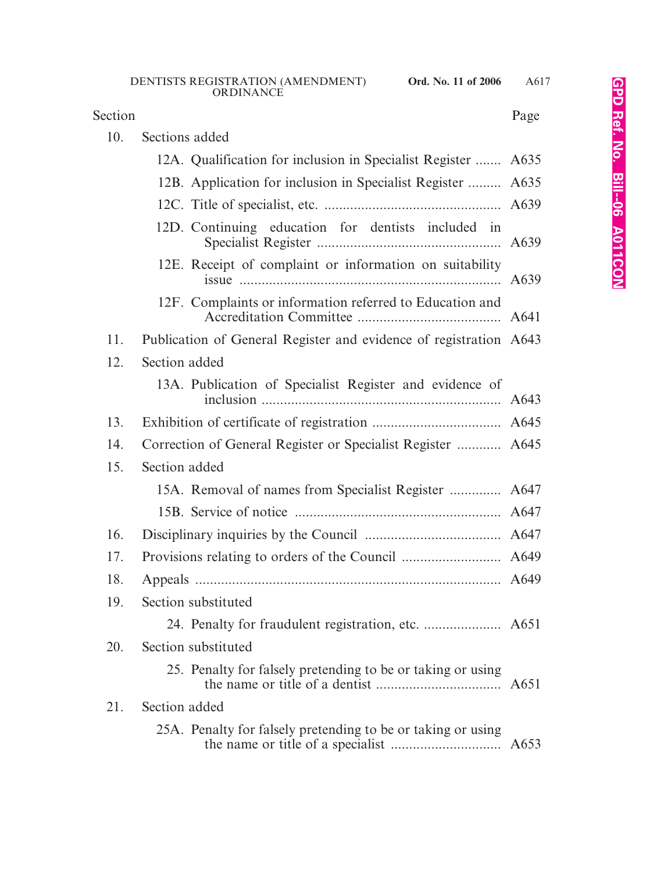# Section Page

| 10. | Sections added                                                    |  |
|-----|-------------------------------------------------------------------|--|
|     | 12A. Qualification for inclusion in Specialist Register  A635     |  |
|     | 12B. Application for inclusion in Specialist Register  A635       |  |
|     |                                                                   |  |
|     | 12D. Continuing education for dentists included in                |  |
|     | 12E. Receipt of complaint or information on suitability           |  |
|     | 12F. Complaints or information referred to Education and          |  |
| 11. | Publication of General Register and evidence of registration A643 |  |
| 12. | Section added                                                     |  |
|     | 13A. Publication of Specialist Register and evidence of           |  |
| 13. |                                                                   |  |
| 14. | Correction of General Register or Specialist Register  A645       |  |
| 15. | Section added                                                     |  |
|     | 15A. Removal of names from Specialist Register  A647              |  |
|     |                                                                   |  |
| 16. |                                                                   |  |
| 17. |                                                                   |  |
| 18. |                                                                   |  |
| 19. | Section substituted                                               |  |
|     |                                                                   |  |
| 20. | Section substituted                                               |  |
|     | 25. Penalty for falsely pretending to be or taking or using       |  |
| 21. | Section added                                                     |  |
|     | 25A. Penalty for falsely pretending to be or taking or using      |  |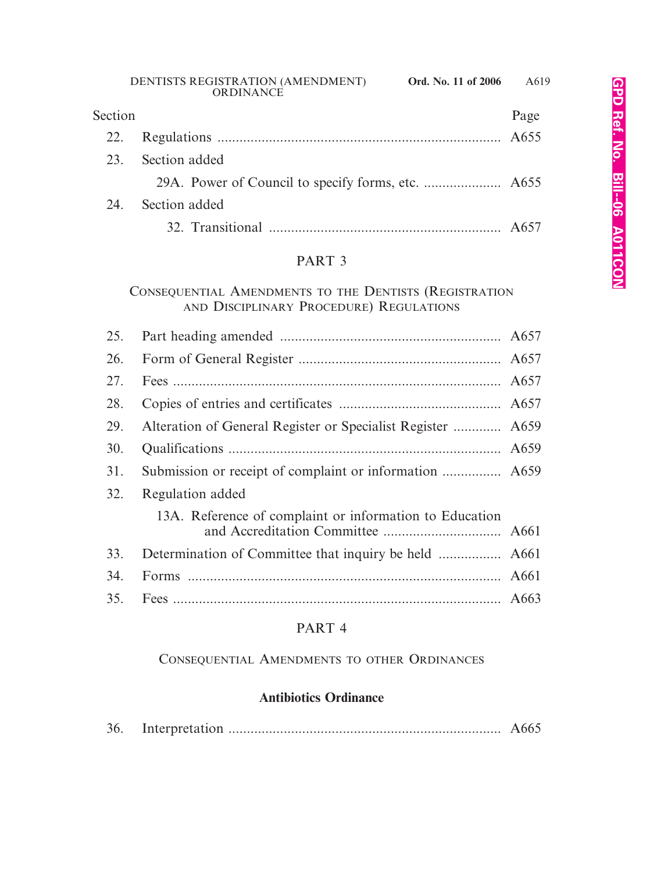| Section |               | Page |
|---------|---------------|------|
| 22.     |               |      |
| 23.     | Section added |      |
|         |               |      |
| 24.     | Section added |      |
|         |               |      |

# PART 3

## CONSEQUENTIAL AMENDMENTS TO THE DENTISTS (REGISTRATION AND DISCIPLINARY PROCEDURE) REGULATIONS

| Alteration of General Register or Specialist Register  A659 |  |
|-------------------------------------------------------------|--|
|                                                             |  |
|                                                             |  |
| Regulation added                                            |  |
| 13A. Reference of complaint or information to Education     |  |
|                                                             |  |
|                                                             |  |
|                                                             |  |
|                                                             |  |

# PART 4

## CONSEQUENTIAL AMENDMENTS TO OTHER ORDINANCES

# **Antibiotics Ordinance**

| 36. |  |  |  |
|-----|--|--|--|
|-----|--|--|--|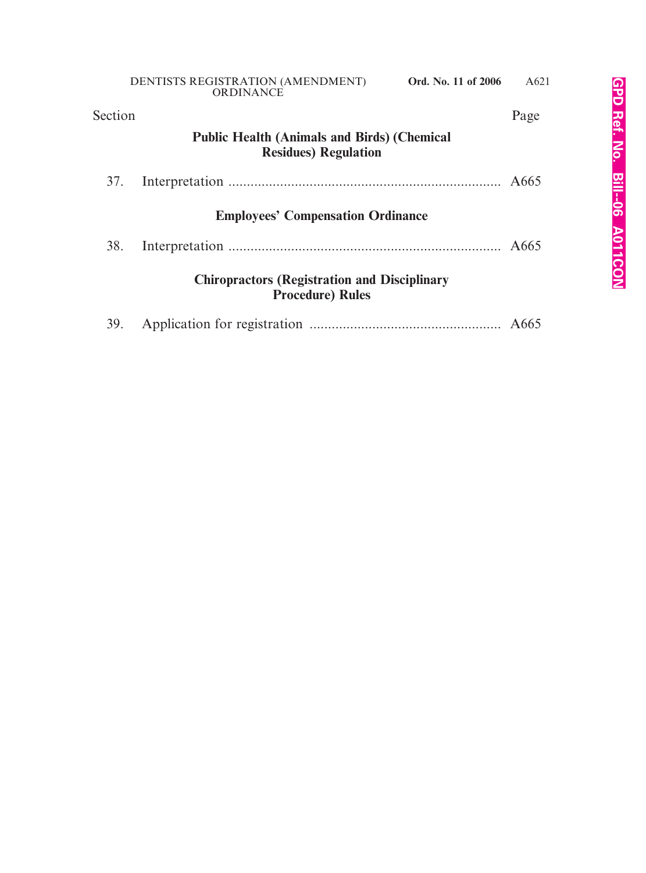| Section |                                                                                    | Page |
|---------|------------------------------------------------------------------------------------|------|
|         | <b>Public Health (Animals and Birds) (Chemical</b><br><b>Residues</b> ) Regulation |      |
| 37.     |                                                                                    |      |
|         | <b>Employees' Compensation Ordinance</b>                                           |      |
| 38.     |                                                                                    |      |
|         | <b>Chiropractors (Registration and Disciplinary</b><br><b>Procedure) Rules</b>     |      |
| 39.     |                                                                                    |      |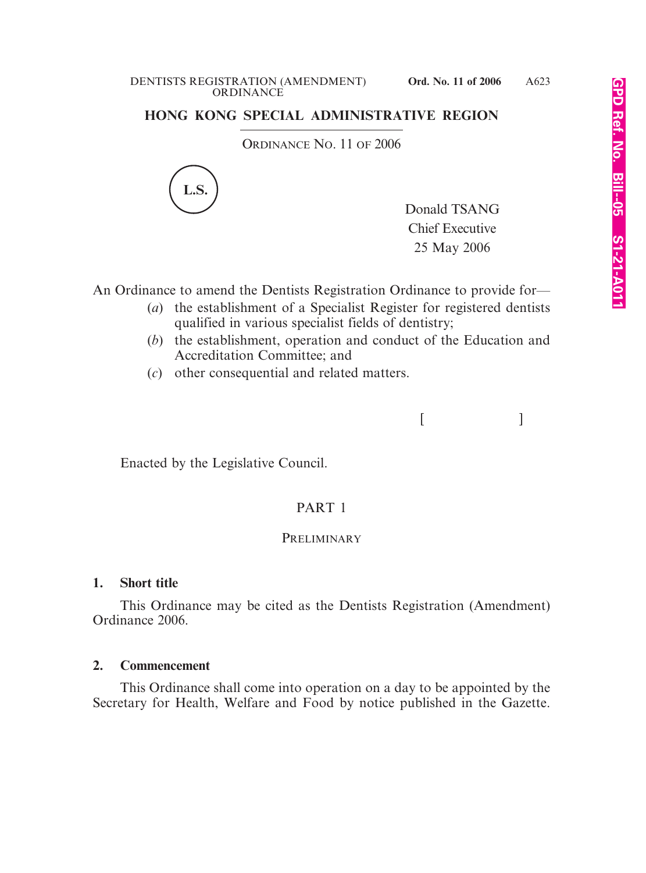#### DENTISTS REGISTRATION (AMENDMENT) **Ord. No. 11 of 2006 ORDINANCE**

## **HONG KONG SPECIAL ADMINISTRATIVE REGION**

ORDINANCE NO. 11 OF 2006



Donald TSANG Chief Executive 25 May 2006

 $[$   $]$ 

An Ordinance to amend the Dentists Registration Ordinance to provide for—

- (*a*) the establishment of a Specialist Register for registered dentists qualified in various specialist fields of dentistry;
- (*b*) the establishment, operation and conduct of the Education and Accreditation Committee; and
- (*c*) other consequential and related matters.

Enacted by the Legislative Council.

## PART 1

#### **PRELIMINARY**

#### **1. Short title**

This Ordinance may be cited as the Dentists Registration (Amendment) Ordinance 2006.

#### **2. Commencement**

This Ordinance shall come into operation on a day to be appointed by the Secretary for Health, Welfare and Food by notice published in the Gazette.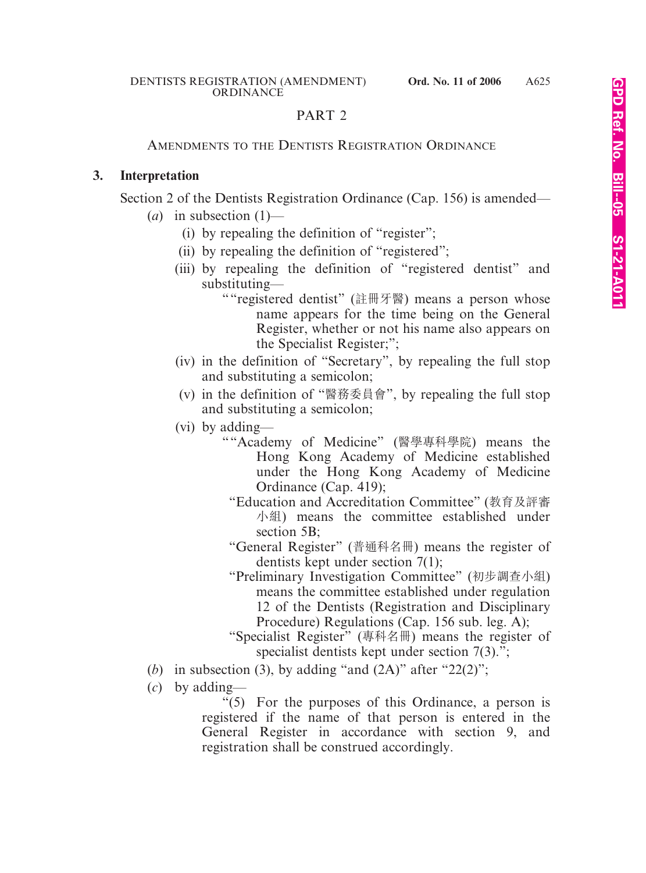## PART 2

#### AMENDMENTS TO THE DENTISTS REGISTRATION ORDINANCE

#### **3. Interpretation**

Section 2 of the Dentists Registration Ordinance (Cap. 156) is amended—

- $(a)$  in subsection  $(1)$ 
	- (i) by repealing the definition of "register";
	- (ii) by repealing the definition of "registered";
	- (iii) by repealing the definition of "registered dentist" and substituting—
		- ""registered dentist" (註冊牙醫) means a person whose name appears for the time being on the General Register, whether or not his name also appears on the Specialist Register;";
	- (iv) in the definition of "Secretary", by repealing the full stop and substituting a semicolon;
	- (v) in the definition of "醫務委員會", by repealing the full stop and substituting a semicolon;
	- (vi) by adding—
		- ""Academy of Medicine" (醫學專科學院) means the Hong Kong Academy of Medicine established under the Hong Kong Academy of Medicine Ordinance (Cap. 419);
			- "Education and Accreditation Committee" (桝育及評審 小組) means the committee established under section 5B:
			- "General Register" (普通科名冊) means the register of dentists kept under section 7(1);
			- "Preliminary Investigation Committee" (初步調查小組) means the committee established under regulation 12 of the Dentists (Registration and Disciplinary Procedure) Regulations (Cap. 156 sub. leg. A);
			- "Specialist Register" (專科名冊) means the register of specialist dentists kept under section 7(3).";
- (*b*) in subsection (3), by adding "and  $(2A)$ " after " $22(2)$ ";
- (*c*) by adding—

"(5) For the purposes of this Ordinance, a person is registered if the name of that person is entered in the General Register in accordance with section 9, and registration shall be construed accordingly.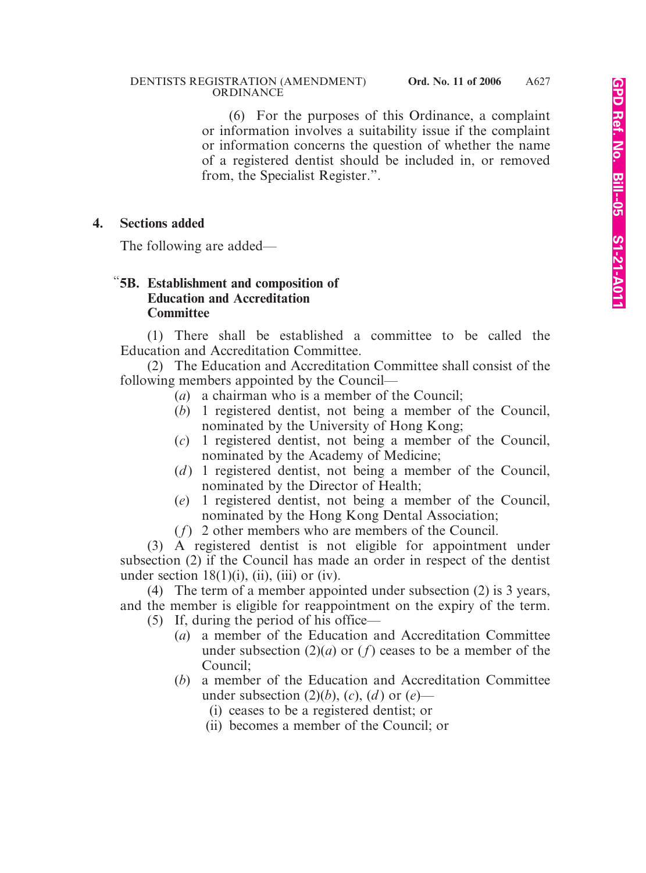(6) For the purposes of this Ordinance, a complaint or information involves a suitability issue if the complaint or information concerns the question of whether the name of a registered dentist should be included in, or removed from, the Specialist Register.".

### **4. Sections added**

The following are added—

### "**5B. Establishment and composition of Education and Accreditation Committee**

(1) There shall be established a committee to be called the Education and Accreditation Committee.

(2) The Education and Accreditation Committee shall consist of the following members appointed by the Council—

- (*a*) a chairman who is a member of the Council;
- (*b*) 1 registered dentist, not being a member of the Council, nominated by the University of Hong Kong;
- (*c*) 1 registered dentist, not being a member of the Council, nominated by the Academy of Medicine;
- (*d*) 1 registered dentist, not being a member of the Council, nominated by the Director of Health;
- (*e*) 1 registered dentist, not being a member of the Council, nominated by the Hong Kong Dental Association;
- (*f*) 2 other members who are members of the Council.

(3) A registered dentist is not eligible for appointment under subsection (2) if the Council has made an order in respect of the dentist under section  $18(1)(i)$ , (ii), (iii) or (iv).

(4) The term of a member appointed under subsection (2) is 3 years, and the member is eligible for reappointment on the expiry of the term. (5) If, during the period of his office—

- (*a*) a member of the Education and Accreditation Committee under subsection  $(2)(a)$  or  $(f)$  ceases to be a member of the Council;
- (*b*) a member of the Education and Accreditation Committee under subsection  $(2)(b)$ ,  $(c)$ ,  $(d)$  or  $(e)$ —
	- (i) ceases to be a registered dentist; or
	- (ii) becomes a member of the Council; or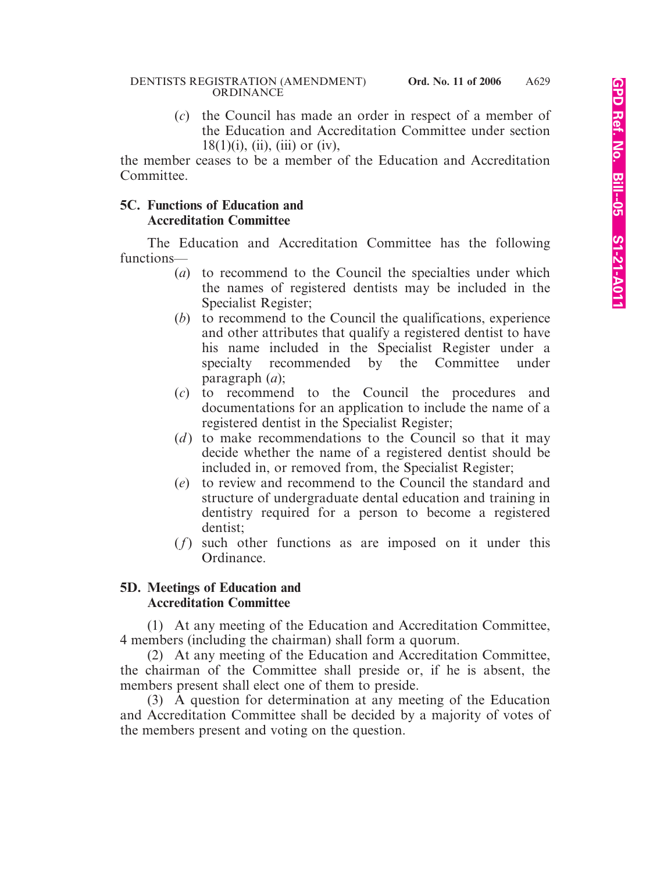(*c*) the Council has made an order in respect of a member of the Education and Accreditation Committee under section  $18(1)(i)$ , (ii), (iii) or (iv),

the member ceases to be a member of the Education and Accreditation Committee.

### **5C. Functions of Education and Accreditation Committee**

The Education and Accreditation Committee has the following functions—

- (*a*) to recommend to the Council the specialties under which the names of registered dentists may be included in the Specialist Register;
- (*b*) to recommend to the Council the qualifications, experience and other attributes that qualify a registered dentist to have his name included in the Specialist Register under a specialty recommended by the Committee under paragraph (*a*);
- (*c*) to recommend to the Council the procedures and documentations for an application to include the name of a registered dentist in the Specialist Register;
- (*d*) to make recommendations to the Council so that it may decide whether the name of a registered dentist should be included in, or removed from, the Specialist Register;
- (*e*) to review and recommend to the Council the standard and structure of undergraduate dental education and training in dentistry required for a person to become a registered dentist;
- (*f*) such other functions as are imposed on it under this Ordinance.

### **5D. Meetings of Education and Accreditation Committee**

(1) At any meeting of the Education and Accreditation Committee, 4 members (including the chairman) shall form a quorum.

(2) At any meeting of the Education and Accreditation Committee, the chairman of the Committee shall preside or, if he is absent, the members present shall elect one of them to preside.

(3) A question for determination at any meeting of the Education and Accreditation Committee shall be decided by a majority of votes of the members present and voting on the question.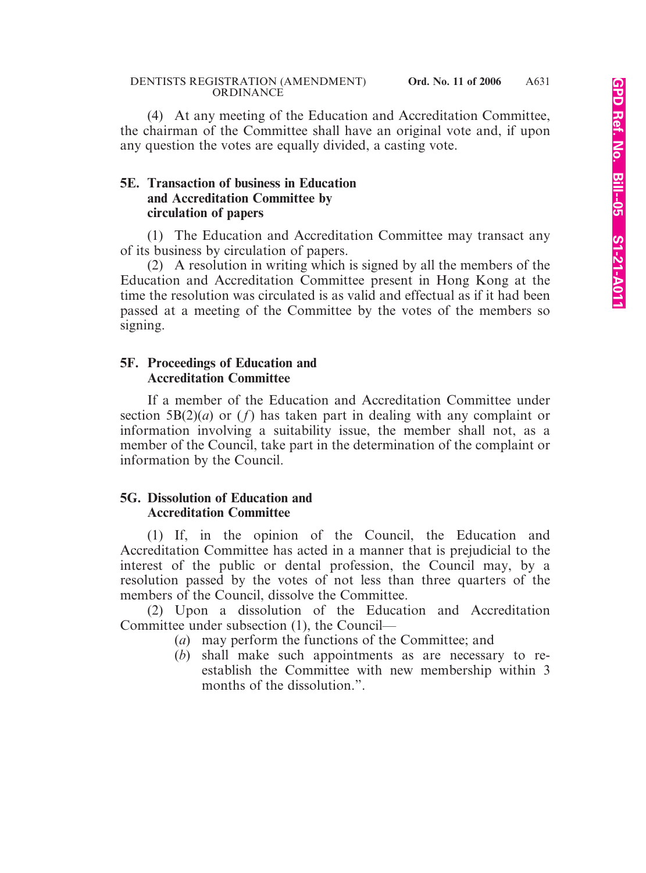(4) At any meeting of the Education and Accreditation Committee, the chairman of the Committee shall have an original vote and, if upon any question the votes are equally divided, a casting vote.

### **5E. Transaction of business in Education and Accreditation Committee by circulation of papers**

(1) The Education and Accreditation Committee may transact any of its business by circulation of papers.

(2) A resolution in writing which is signed by all the members of the Education and Accreditation Committee present in Hong Kong at the time the resolution was circulated is as valid and effectual as if it had been passed at a meeting of the Committee by the votes of the members so signing.

#### **5F. Proceedings of Education and Accreditation Committee**

If a member of the Education and Accreditation Committee under section  $5B(2)(a)$  or  $(f)$  has taken part in dealing with any complaint or information involving a suitability issue, the member shall not, as a member of the Council, take part in the determination of the complaint or information by the Council.

### **5G. Dissolution of Education and Accreditation Committee**

(1) If, in the opinion of the Council, the Education and Accreditation Committee has acted in a manner that is prejudicial to the interest of the public or dental profession, the Council may, by a resolution passed by the votes of not less than three quarters of the members of the Council, dissolve the Committee.

(2) Upon a dissolution of the Education and Accreditation Committee under subsection (1), the Council—

- (*a*) may perform the functions of the Committee; and
- (*b*) shall make such appointments as are necessary to reestablish the Committee with new membership within 3 months of the dissolution.".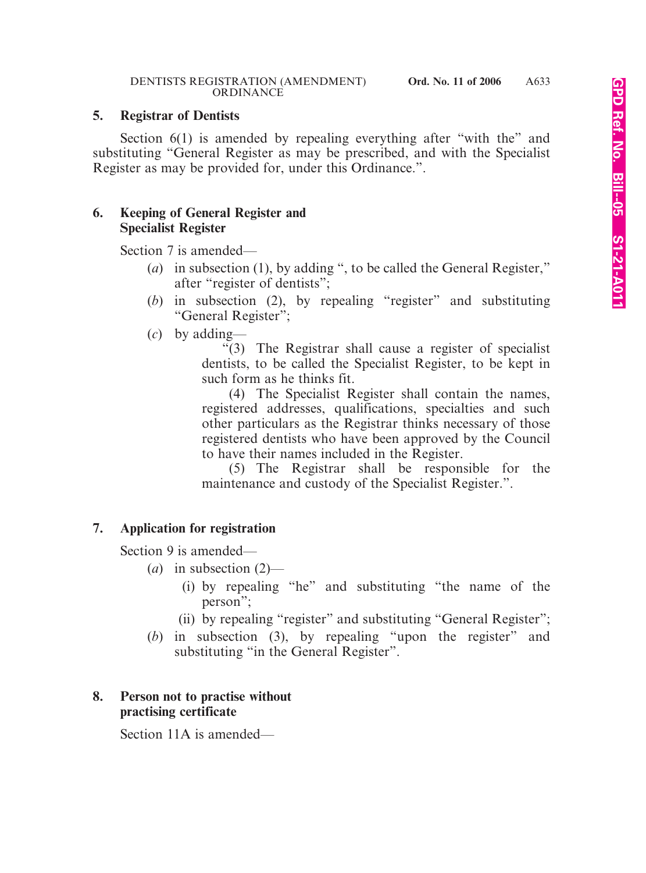### **5. Registrar of Dentists**

Section 6(1) is amended by repealing everything after "with the" and substituting "General Register as may be prescribed, and with the Specialist Register as may be provided for, under this Ordinance.".

### **6. Keeping of General Register and Specialist Register**

Section 7 is amended—

- (*a*) in subsection (1), by adding ", to be called the General Register," after "register of dentists";
- (*b*) in subsection (2), by repealing "register" and substituting "General Register";
- (*c*) by adding—

"(3) The Registrar shall cause a register of specialist dentists, to be called the Specialist Register, to be kept in such form as he thinks fit.

(4) The Specialist Register shall contain the names, registered addresses, qualifications, specialties and such other particulars as the Registrar thinks necessary of those registered dentists who have been approved by the Council to have their names included in the Register.

(5) The Registrar shall be responsible for the maintenance and custody of the Specialist Register.".

## **7. Application for registration**

Section 9 is amended—

- (*a*) in subsection (2)—
	- (i) by repealing "he" and substituting "the name of the person";
	- (ii) by repealing "register" and substituting "General Register";
- (*b*) in subsection (3), by repealing "upon the register" and substituting "in the General Register".

### **8. Person not to practise without practising certificate**

Section 11A is amended—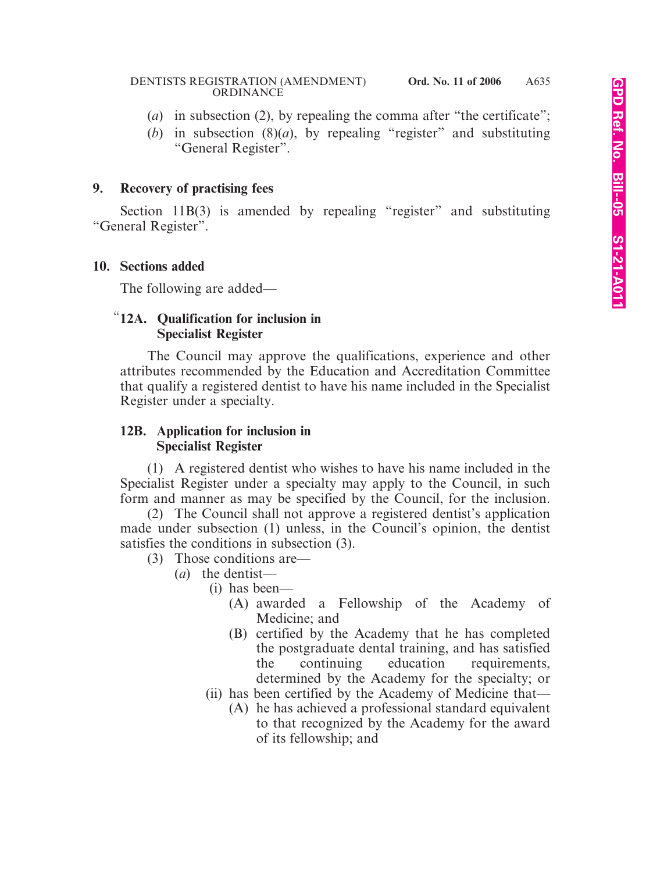- (*a*) in subsection (2), by repealing the comma after "the certificate";
- (*b*) in subsection (8)(*a*), by repealing "register" and substituting "General Register".

#### **9. Recovery of practising fees**

Section 11B(3) is amended by repealing "register" and substituting "General Register".

#### **10. Sections added**

The following are added—

### "**12A. Qualification for inclusion in Specialist Register**

The Council may approve the qualifications, experience and other attributes recommended by the Education and Accreditation Committee that qualify a registered dentist to have his name included in the Specialist Register under a specialty.

#### **12B. Application for inclusion in Specialist Register**

(1) A registered dentist who wishes to have his name included in the Specialist Register under a specialty may apply to the Council, in such form and manner as may be specified by the Council, for the inclusion.

(2) The Council shall not approve a registered dentist's application made under subsection (1) unless, in the Council's opinion, the dentist satisfies the conditions in subsection (3).

- (3) Those conditions are—
	- (*a*) the dentist—
		- (i) has been—
			- (A) awarded a Fellowship of the Academy of Medicine; and
			- (B) certified by the Academy that he has completed the postgraduate dental training, and has satisfied the continuing education requirements, determined by the Academy for the specialty; or
		- (ii) has been certified by the Academy of Medicine that—
			- (A) he has achieved a professional standard equivalent to that recognized by the Academy for the award of its fellowship; and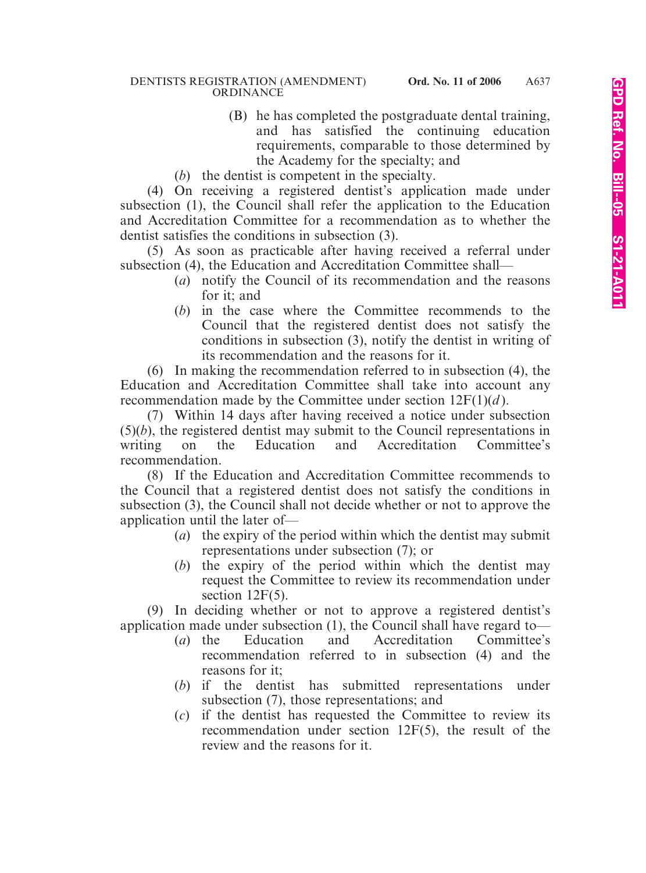- (B) he has completed the postgraduate dental training, and has satisfied the continuing education requirements, comparable to those determined by the Academy for the specialty; and
- (*b*) the dentist is competent in the specialty.

(4) On receiving a registered dentist's application made under subsection (1), the Council shall refer the application to the Education and Accreditation Committee for a recommendation as to whether the dentist satisfies the conditions in subsection (3).

(5) As soon as practicable after having received a referral under subsection (4), the Education and Accreditation Committee shall—

- (*a*) notify the Council of its recommendation and the reasons for it; and
- (*b*) in the case where the Committee recommends to the Council that the registered dentist does not satisfy the conditions in subsection (3), notify the dentist in writing of its recommendation and the reasons for it.

(6) In making the recommendation referred to in subsection (4), the Education and Accreditation Committee shall take into account any recommendation made by the Committee under section 12F(1)(*d* ).

(7) Within 14 days after having received a notice under subsection (5)(*b*), the registered dentist may submit to the Council representations in writing on the Education and Accreditation Committee's recommendation.

(8) If the Education and Accreditation Committee recommends to the Council that a registered dentist does not satisfy the conditions in subsection (3), the Council shall not decide whether or not to approve the application until the later of—

- (*a*) the expiry of the period within which the dentist may submit representations under subsection (7); or
- (*b*) the expiry of the period within which the dentist may request the Committee to review its recommendation under section 12F(5).

(9) In deciding whether or not to approve a registered dentist's application made under subsection (1), the Council shall have regard to—

- (*a*) the Education and Accreditation Committee's recommendation referred to in subsection (4) and the reasons for it;
- (*b*) if the dentist has submitted representations under subsection (7), those representations; and
- (*c*) if the dentist has requested the Committee to review its recommendation under section 12F(5), the result of the review and the reasons for it.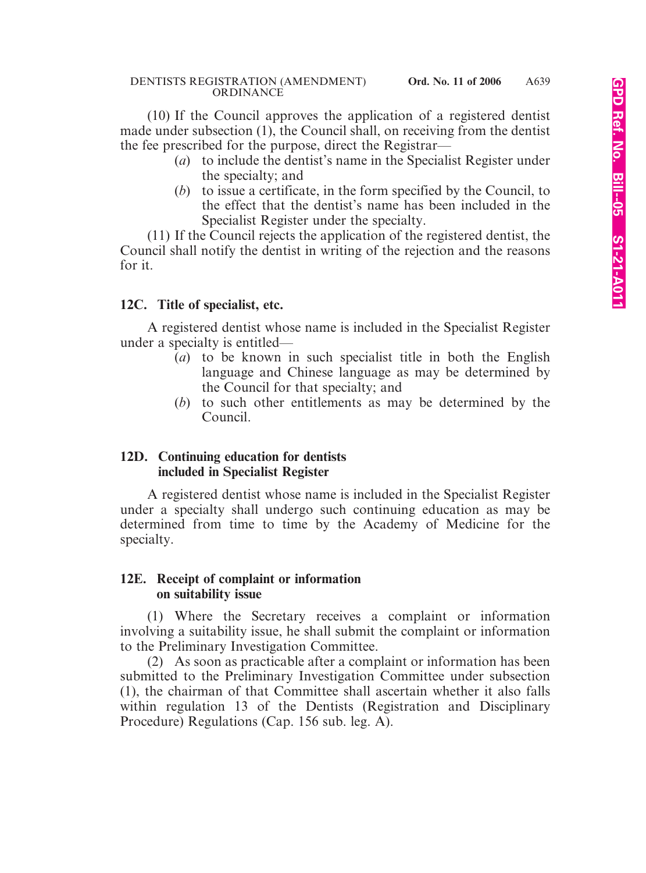(10) If the Council approves the application of a registered dentist made under subsection (1), the Council shall, on receiving from the dentist the fee prescribed for the purpose, direct the Registrar—

- (*a*) to include the dentist's name in the Specialist Register under the specialty; and
- (*b*) to issue a certificate, in the form specified by the Council, to the effect that the dentist's name has been included in the Specialist Register under the specialty.

(11) If the Council rejects the application of the registered dentist, the Council shall notify the dentist in writing of the rejection and the reasons for it.

### **12C. Title of specialist, etc.**

A registered dentist whose name is included in the Specialist Register under a specialty is entitled—

- (*a*) to be known in such specialist title in both the English language and Chinese language as may be determined by the Council for that specialty; and
- (*b*) to such other entitlements as may be determined by the Council.

### **12D. Continuing education for dentists included in Specialist Register**

A registered dentist whose name is included in the Specialist Register under a specialty shall undergo such continuing education as may be determined from time to time by the Academy of Medicine for the specialty.

### **12E. Receipt of complaint or information on suitability issue**

(1) Where the Secretary receives a complaint or information involving a suitability issue, he shall submit the complaint or information to the Preliminary Investigation Committee.

(2) As soon as practicable after a complaint or information has been submitted to the Preliminary Investigation Committee under subsection (1), the chairman of that Committee shall ascertain whether it also falls within regulation 13 of the Dentists (Registration and Disciplinary Procedure) Regulations (Cap. 156 sub. leg. A).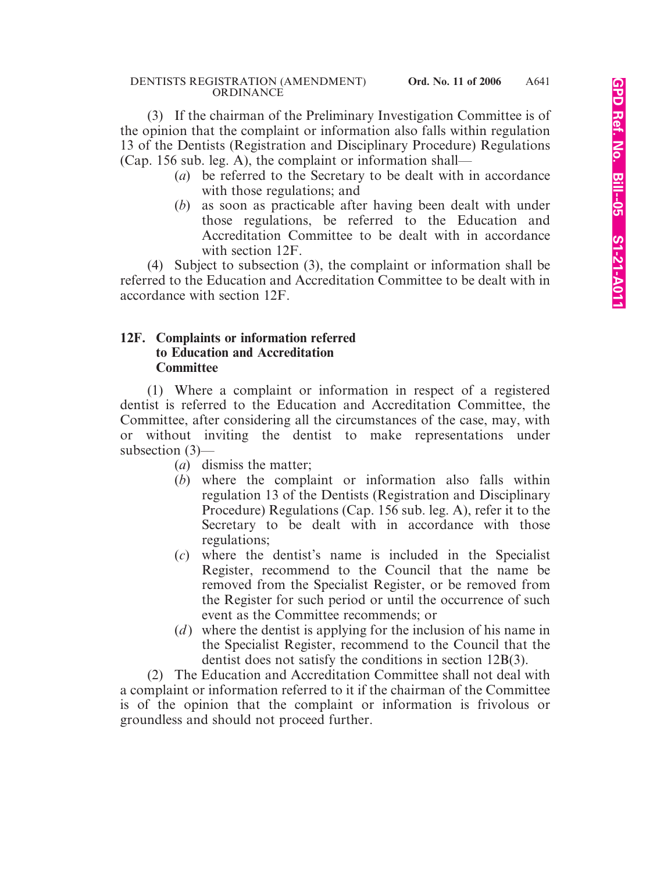(3) If the chairman of the Preliminary Investigation Committee is of the opinion that the complaint or information also falls within regulation 13 of the Dentists (Registration and Disciplinary Procedure) Regulations (Cap. 156 sub. leg. A), the complaint or information shall—

- (*a*) be referred to the Secretary to be dealt with in accordance with those regulations; and
- (*b*) as soon as practicable after having been dealt with under those regulations, be referred to the Education and Accreditation Committee to be dealt with in accordance with section 12F.

(4) Subject to subsection (3), the complaint or information shall be referred to the Education and Accreditation Committee to be dealt with in accordance with section 12F.

### **12F. Complaints or information referred to Education and Accreditation Committee**

(1) Where a complaint or information in respect of a registered dentist is referred to the Education and Accreditation Committee, the Committee, after considering all the circumstances of the case, may, with or without inviting the dentist to make representations under subsection (3)—

- (*a*) dismiss the matter;
- (*b*) where the complaint or information also falls within regulation 13 of the Dentists (Registration and Disciplinary Procedure) Regulations (Cap. 156 sub. leg. A), refer it to the Secretary to be dealt with in accordance with those regulations;
- (*c*) where the dentist's name is included in the Specialist Register, recommend to the Council that the name be removed from the Specialist Register, or be removed from the Register for such period or until the occurrence of such event as the Committee recommends; or
- (*d*) where the dentist is applying for the inclusion of his name in the Specialist Register, recommend to the Council that the dentist does not satisfy the conditions in section 12B(3).

(2) The Education and Accreditation Committee shall not deal with a complaint or information referred to it if the chairman of the Committee is of the opinion that the complaint or information is frivolous or groundless and should not proceed further.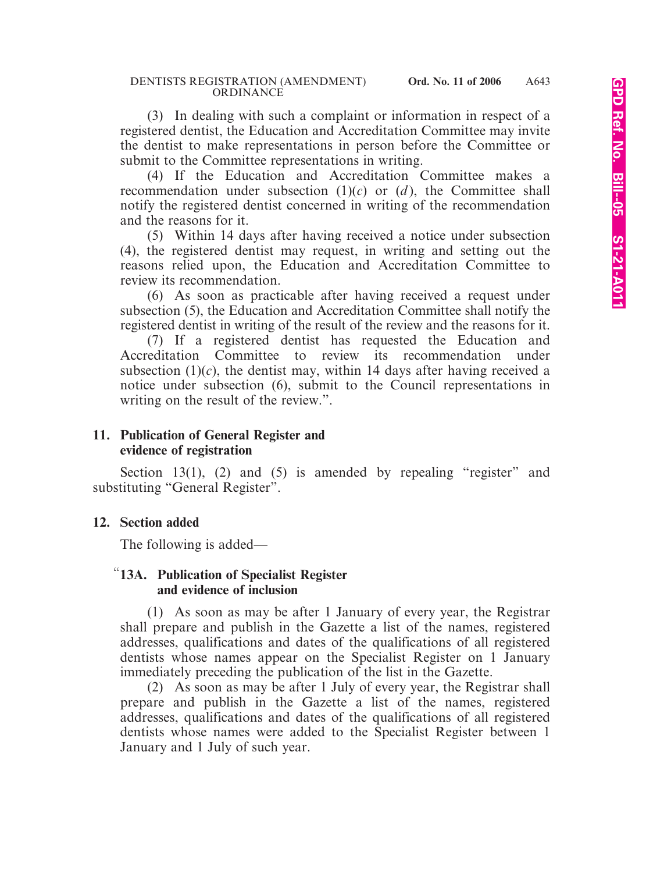(3) In dealing with such a complaint or information in respect of a registered dentist, the Education and Accreditation Committee may invite the dentist to make representations in person before the Committee or submit to the Committee representations in writing.

(4) If the Education and Accreditation Committee makes a recommendation under subsection  $(1)(c)$  or  $(d)$ , the Committee shall notify the registered dentist concerned in writing of the recommendation and the reasons for it.

(5) Within 14 days after having received a notice under subsection (4), the registered dentist may request, in writing and setting out the reasons relied upon, the Education and Accreditation Committee to review its recommendation.

(6) As soon as practicable after having received a request under subsection (5), the Education and Accreditation Committee shall notify the registered dentist in writing of the result of the review and the reasons for it.

(7) If a registered dentist has requested the Education and Accreditation Committee to review its recommendation under subsection  $(1)(c)$ , the dentist may, within 14 days after having received a notice under subsection (6), submit to the Council representations in writing on the result of the review.".

### **11. Publication of General Register and evidence of registration**

Section 13(1), (2) and (5) is amended by repealing "register" and substituting "General Register".

## **12. Section added**

The following is added—

### "**13A. Publication of Specialist Register and evidence of inclusion**

(1) As soon as may be after 1 January of every year, the Registrar shall prepare and publish in the Gazette a list of the names, registered addresses, qualifications and dates of the qualifications of all registered dentists whose names appear on the Specialist Register on 1 January immediately preceding the publication of the list in the Gazette.

(2) As soon as may be after 1 July of every year, the Registrar shall prepare and publish in the Gazette a list of the names, registered addresses, qualifications and dates of the qualifications of all registered dentists whose names were added to the Specialist Register between 1 January and 1 July of such year.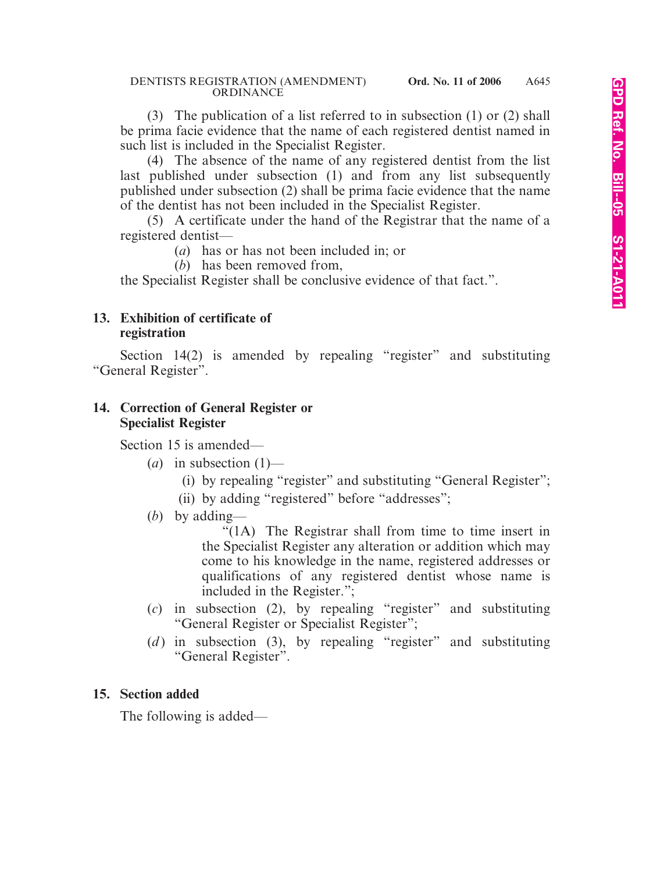(3) The publication of a list referred to in subsection (1) or (2) shall be prima facie evidence that the name of each registered dentist named in such list is included in the Specialist Register.

(4) The absence of the name of any registered dentist from the list last published under subsection (1) and from any list subsequently published under subsection (2) shall be prima facie evidence that the name of the dentist has not been included in the Specialist Register.

(5) A certificate under the hand of the Registrar that the name of a registered dentist—

(*a*) has or has not been included in; or

(*b*) has been removed from,

the Specialist Register shall be conclusive evidence of that fact.".

#### **13. Exhibition of certificate of registration**

Section 14(2) is amended by repealing "register" and substituting "General Register".

### **14. Correction of General Register or Specialist Register**

Section 15 is amended—

- (*a*) in subsection  $(1)$ 
	- (i) by repealing "register" and substituting "General Register";
	- (ii) by adding "registered" before "addresses";
- (*b*) by adding—

"(1A) The Registrar shall from time to time insert in the Specialist Register any alteration or addition which may come to his knowledge in the name, registered addresses or qualifications of any registered dentist whose name is included in the Register.";

- (*c*) in subsection (2), by repealing "register" and substituting "General Register or Specialist Register";
- (*d*) in subsection (3), by repealing "register" and substituting "General Register".

### **15. Section added**

The following is added—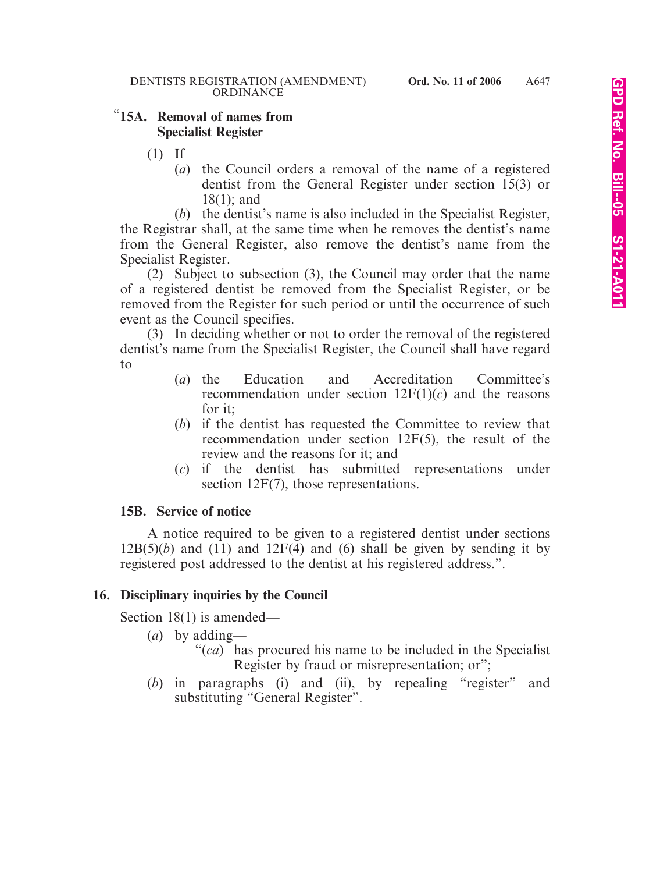### "**15A. Removal of names from Specialist Register**

- $(1)$  If—
	- (*a*) the Council orders a removal of the name of a registered dentist from the General Register under section 15(3) or 18(1); and

(*b*) the dentist's name is also included in the Specialist Register, the Registrar shall, at the same time when he removes the dentist's name from the General Register, also remove the dentist's name from the Specialist Register.

(2) Subject to subsection (3), the Council may order that the name of a registered dentist be removed from the Specialist Register, or be removed from the Register for such period or until the occurrence of such event as the Council specifies.

(3) In deciding whether or not to order the removal of the registered dentist's name from the Specialist Register, the Council shall have regard to—

- (*a*) the Education and Accreditation Committee's recommendation under section  $12F(1)(c)$  and the reasons for it;
- (*b*) if the dentist has requested the Committee to review that recommendation under section 12F(5), the result of the review and the reasons for it; and
- (*c*) if the dentist has submitted representations under section 12F(7), those representations.

### **15B. Service of notice**

A notice required to be given to a registered dentist under sections  $12B(5)(b)$  and  $(11)$  and  $12F(4)$  and  $(6)$  shall be given by sending it by registered post addressed to the dentist at his registered address.".

## **16. Disciplinary inquiries by the Council**

Section 18(1) is amended—

- (*a*) by adding—
	- "(*ca*) has procured his name to be included in the Specialist Register by fraud or misrepresentation; or";
- (*b*) in paragraphs (i) and (ii), by repealing "register" and substituting "General Register".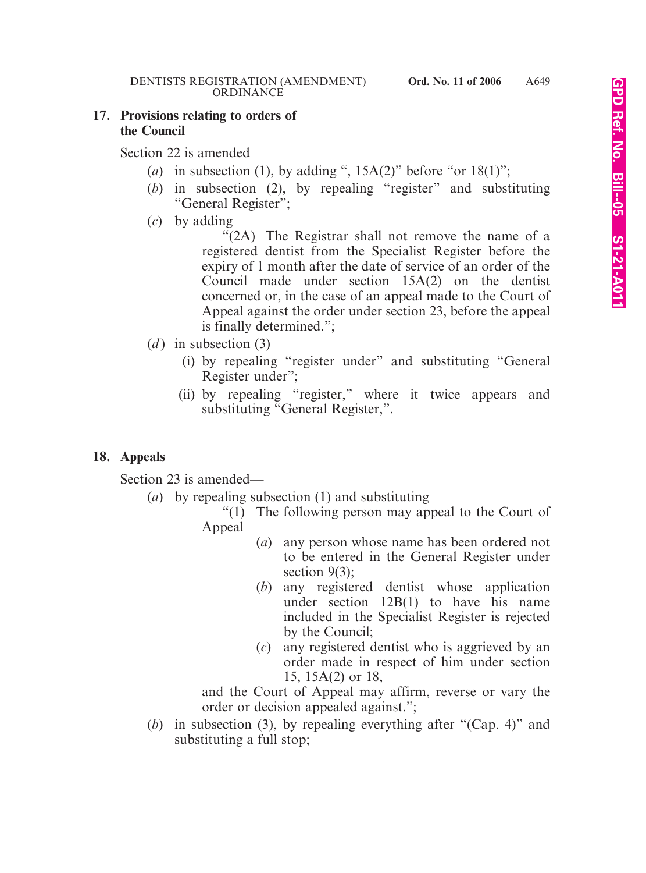#### **17. Provisions relating to orders of the Council**

Section 22 is amended—

- (*a*) in subsection (1), by adding ",  $15A(2)$ " before "or  $18(1)$ ";
- (*b*) in subsection (2), by repealing "register" and substituting "General Register";
- (*c*) by adding—

"(2A) The Registrar shall not remove the name of a registered dentist from the Specialist Register before the expiry of 1 month after the date of service of an order of the Council made under section 15A(2) on the dentist concerned or, in the case of an appeal made to the Court of Appeal against the order under section 23, before the appeal is finally determined.";

- $(d)$  in subsection  $(3)$ 
	- (i) by repealing "register under" and substituting "General Register under";
	- (ii) by repealing "register," where it twice appears and substituting "General Register,".

## **18. Appeals**

Section 23 is amended—

- (*a*) by repealing subsection (1) and substituting—
	- "(1) The following person may appeal to the Court of Appeal—
		- (*a*) any person whose name has been ordered not to be entered in the General Register under section  $9(3)$ ;
		- (*b*) any registered dentist whose application under section 12B(1) to have his name included in the Specialist Register is rejected by the Council;
		- (*c*) any registered dentist who is aggrieved by an order made in respect of him under section 15, 15A(2) or 18,

and the Court of Appeal may affirm, reverse or vary the order or decision appealed against.";

(*b*) in subsection (3), by repealing everything after "(Cap. 4)" and substituting a full stop;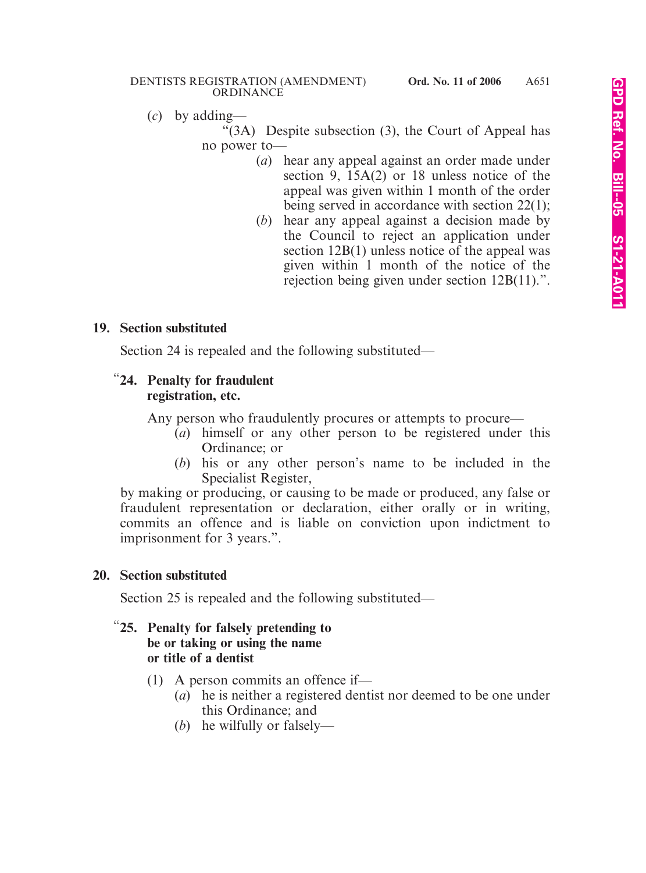#### DENTISTS REGISTRATION (AMENDMENT) **Ord. No. 11 of 2006** ORDINANCE

(*c*) by adding—

"(3A) Despite subsection (3), the Court of Appeal has no power to—

- (*a*) hear any appeal against an order made under section 9, 15A(2) or 18 unless notice of the appeal was given within 1 month of the order being served in accordance with section 22(1);
- (*b*) hear any appeal against a decision made by the Council to reject an application under section 12B(1) unless notice of the appeal was given within 1 month of the notice of the rejection being given under section 12B(11).".

## **19. Section substituted**

Section 24 is repealed and the following substituted—

### "**24. Penalty for fraudulent registration, etc.**

Any person who fraudulently procures or attempts to procure—

- (*a*) himself or any other person to be registered under this Ordinance; or
- (*b*) his or any other person's name to be included in the Specialist Register,

by making or producing, or causing to be made or produced, any false or fraudulent representation or declaration, either orally or in writing, commits an offence and is liable on conviction upon indictment to imprisonment for 3 years.".

## **20. Section substituted**

Section 25 is repealed and the following substituted—

### "**25. Penalty for falsely pretending to be or taking or using the name or title of a dentist**

- (1) A person commits an offence if—
	- (*a*) he is neither a registered dentist nor deemed to be one under this Ordinance; and
	- (*b*) he wilfully or falsely—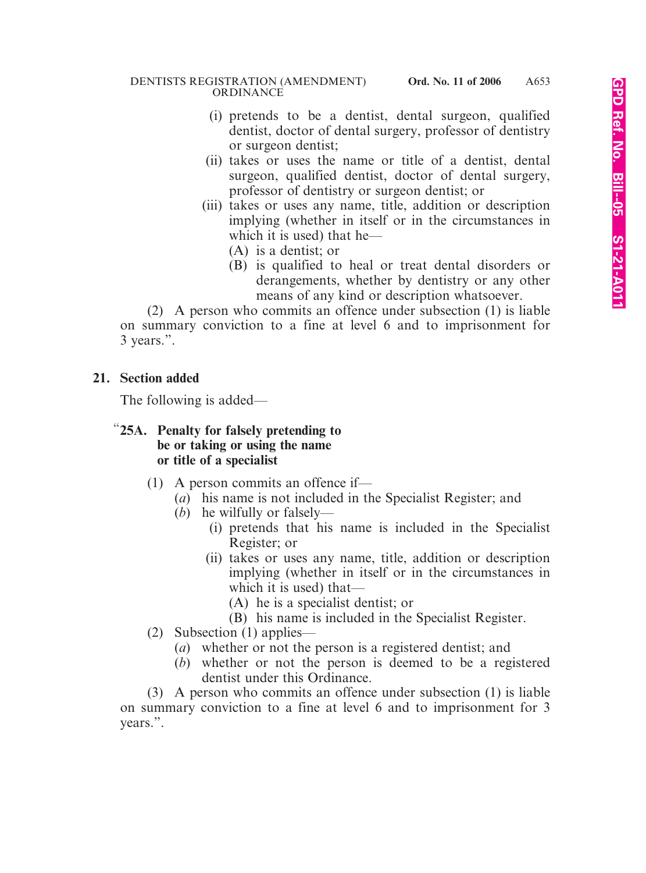- (i) pretends to be a dentist, dental surgeon, qualified dentist, doctor of dental surgery, professor of dentistry or surgeon dentist;
- (ii) takes or uses the name or title of a dentist, dental surgeon, qualified dentist, doctor of dental surgery, professor of dentistry or surgeon dentist; or
- (iii) takes or uses any name, title, addition or description implying (whether in itself or in the circumstances in which it is used) that he—
	- (A) is a dentist; or
	- (B) is qualified to heal or treat dental disorders or derangements, whether by dentistry or any other means of any kind or description whatsoever.

(2) A person who commits an offence under subsection (1) is liable on summary conviction to a fine at level 6 and to imprisonment for 3 years.".

### **21. Section added**

The following is added—

### "**25A. Penalty for falsely pretending to be or taking or using the name or title of a specialist**

- (1) A person commits an offence if—
	- (*a*) his name is not included in the Specialist Register; and
	- (*b*) he wilfully or falsely—
		- (i) pretends that his name is included in the Specialist Register; or
		- (ii) takes or uses any name, title, addition or description implying (whether in itself or in the circumstances in which it is used) that—
			- (A) he is a specialist dentist; or
			- (B) his name is included in the Specialist Register.
- (2) Subsection (1) applies—
	- (*a*) whether or not the person is a registered dentist; and
	- (*b*) whether or not the person is deemed to be a registered dentist under this Ordinance.

(3) A person who commits an offence under subsection (1) is liable on summary conviction to a fine at level 6 and to imprisonment for 3 years.".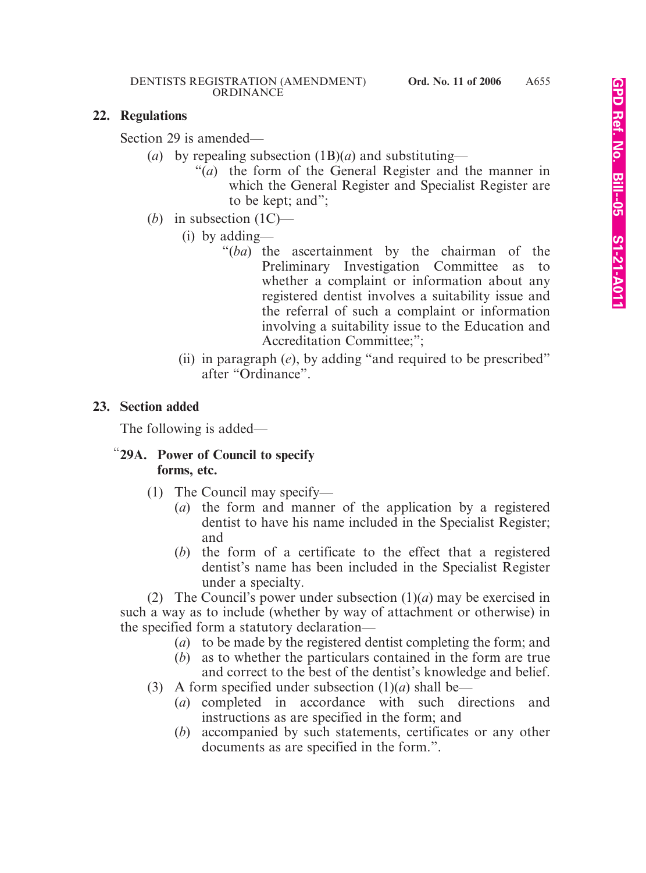#### **22. Regulations**

Section 29 is amended—

- (*a*) by repealing subsection (1B)(*a*) and substituting—
	- "(*a*) the form of the General Register and the manner in which the General Register and Specialist Register are to be kept; and";
- (*b*) in subsection  $(1C)$ 
	- (i) by adding—
		- "(*ba*) the ascertainment by the chairman of the Preliminary Investigation Committee as to whether a complaint or information about any registered dentist involves a suitability issue and the referral of such a complaint or information involving a suitability issue to the Education and Accreditation Committee;";
	- (ii) in paragraph (*e*), by adding "and required to be prescribed" after "Ordinance".

### **23. Section added**

The following is added—

### "**29A. Power of Council to specify forms, etc.**

- (1) The Council may specify—
	- (*a*) the form and manner of the application by a registered dentist to have his name included in the Specialist Register; and
	- (*b*) the form of a certificate to the effect that a registered dentist's name has been included in the Specialist Register under a specialty.

(2) The Council's power under subsection (1)(*a*) may be exercised in such a way as to include (whether by way of attachment or otherwise) in the specified form a statutory declaration—

- (*a*) to be made by the registered dentist completing the form; and
- (*b*) as to whether the particulars contained in the form are true and correct to the best of the dentist's knowledge and belief.
- (3) A form specified under subsection  $(1)(a)$  shall be—
	- (*a*) completed in accordance with such directions and instructions as are specified in the form; and
	- (*b*) accompanied by such statements, certificates or any other documents as are specified in the form.".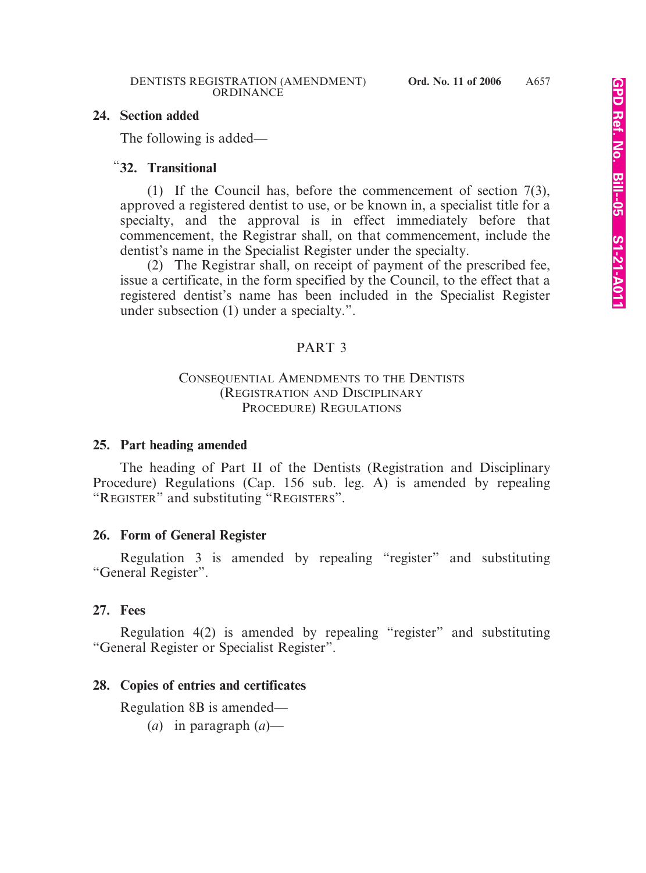#### **24. Section added**

The following is added—

# "**32. Transitional**

(1) If the Council has, before the commencement of section 7(3), approved a registered dentist to use, or be known in, a specialist title for a specialty, and the approval is in effect immediately before that commencement, the Registrar shall, on that commencement, include the dentist's name in the Specialist Register under the specialty.

(2) The Registrar shall, on receipt of payment of the prescribed fee, issue a certificate, in the form specified by the Council, to the effect that a registered dentist's name has been included in the Specialist Register under subsection (1) under a specialty.".

### PART 3

#### CONSEQUENTIAL AMENDMENTS TO THE DENTISTS (REGISTRATION AND DISCIPLINARY PROCEDURE) REGULATIONS

### **25. Part heading amended**

The heading of Part II of the Dentists (Registration and Disciplinary Procedure) Regulations (Cap. 156 sub. leg. A) is amended by repealing "REGISTER" and substituting "REGISTERS".

### **26. Form of General Register**

Regulation 3 is amended by repealing "register" and substituting "General Register".

#### **27. Fees**

Regulation 4(2) is amended by repealing "register" and substituting "General Register or Specialist Register".

### **28. Copies of entries and certificates**

Regulation 8B is amended—

(*a*) in paragraph (*a*)—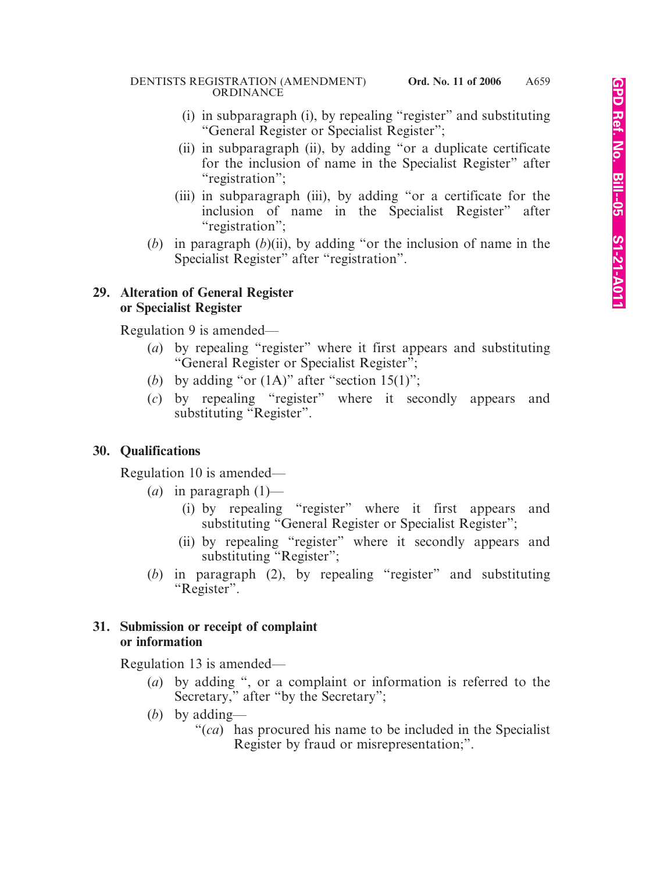- (i) in subparagraph (i), by repealing "register" and substituting "General Register or Specialist Register";
- (ii) in subparagraph (ii), by adding "or a duplicate certificate for the inclusion of name in the Specialist Register" after "registration";
- (iii) in subparagraph (iii), by adding "or a certificate for the inclusion of name in the Specialist Register" after "registration";
- (*b*) in paragraph (*b*)(ii), by adding "or the inclusion of name in the Specialist Register" after "registration".

### **29. Alteration of General Register or Specialist Register**

Regulation 9 is amended—

- (*a*) by repealing "register" where it first appears and substituting "General Register or Specialist Register";
- (*b*) by adding "or  $(1A)$ " after "section  $15(1)$ ";
- (*c*) by repealing "register" where it secondly appears and substituting "Register".

# **30. Qualifications**

Regulation 10 is amended—

- (*a*) in paragraph  $(1)$ 
	- (i) by repealing "register" where it first appears and substituting "General Register or Specialist Register";
	- (ii) by repealing "register" where it secondly appears and substituting "Register";
- (*b*) in paragraph (2), by repealing "register" and substituting "Register".

## **31. Submission or receipt of complaint or information**

Regulation 13 is amended—

- (*a*) by adding ", or a complaint or information is referred to the Secretary," after "by the Secretary";
- (*b*) by adding—
	- "(*ca*) has procured his name to be included in the Specialist Register by fraud or misrepresentation;".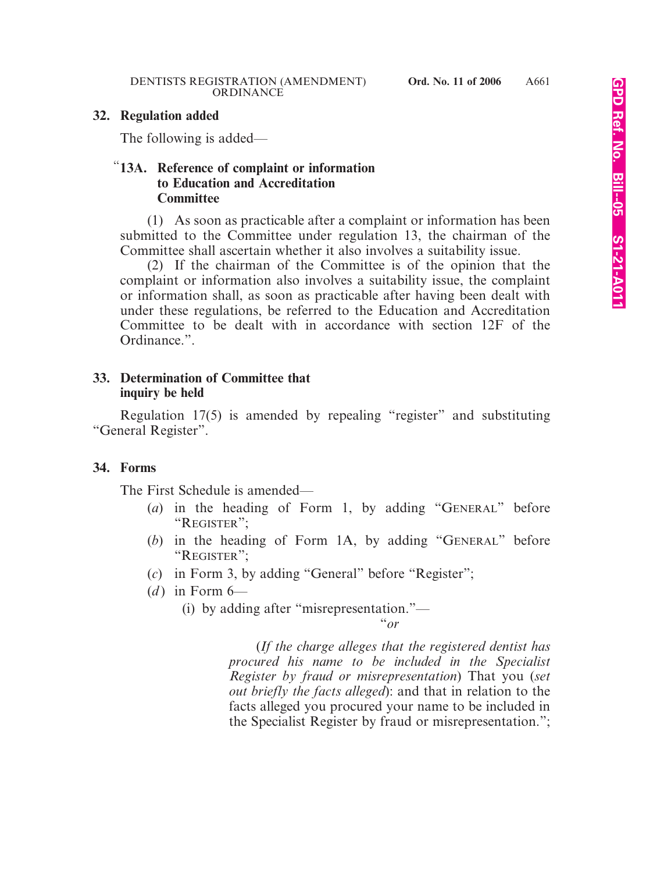#### **32. Regulation added**

The following is added—

### "**13A. Reference of complaint or information to Education and Accreditation Committee**

(1) As soon as practicable after a complaint or information has been submitted to the Committee under regulation 13, the chairman of the Committee shall ascertain whether it also involves a suitability issue.

(2) If the chairman of the Committee is of the opinion that the complaint or information also involves a suitability issue, the complaint or information shall, as soon as practicable after having been dealt with under these regulations, be referred to the Education and Accreditation Committee to be dealt with in accordance with section 12F of the Ordinance.".

#### **33. Determination of Committee that inquiry be held**

Regulation 17(5) is amended by repealing "register" and substituting "General Register".

#### **34. Forms**

The First Schedule is amended—

- (*a*) in the heading of Form 1, by adding "GENERAL" before "REGISTER";
- (*b*) in the heading of Form 1A, by adding "GENERAL" before "REGISTER";
- (*c*) in Form 3, by adding "General" before "Register";
- $(d)$  in Form  $6-$ 
	- (i) by adding after "misrepresentation."—

"*or*

(*If the charge alleges that the registered dentist has procured his name to be included in the Specialist Register by fraud or misrepresentation*) That you (*set out briefly the facts alleged*): and that in relation to the facts alleged you procured your name to be included in the Specialist Register by fraud or misrepresentation.";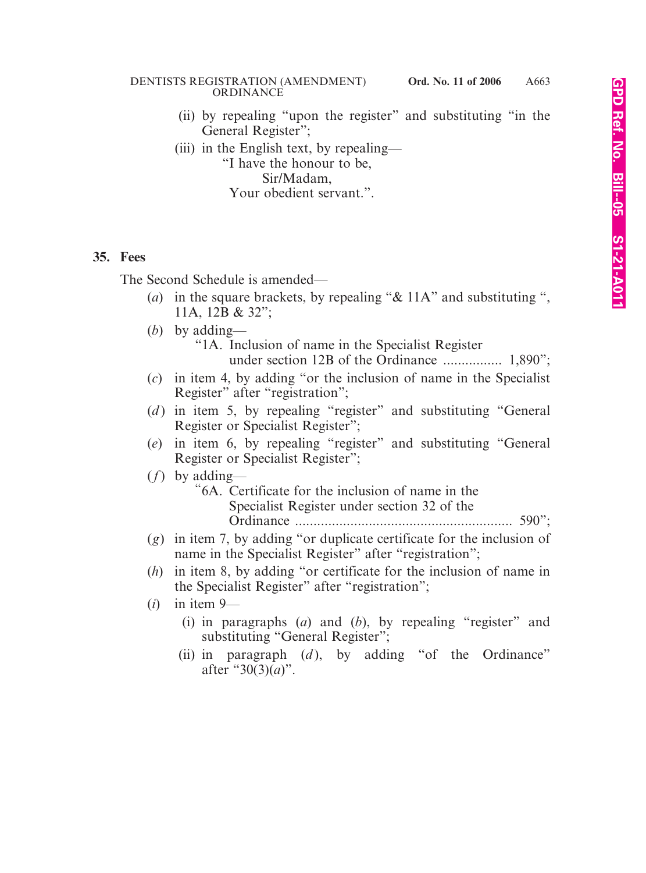#### DENTISTS REGISTRATION (AMENDMENT) **Ord. No. 11 of 2006** ORDINANCE

(ii) by repealing "upon the register" and substituting "in the General Register";

(iii) in the English text, by repealing—

"I have the honour to be, Sir/Madam, Your obedient servant.".

#### **35. Fees**

The Second Schedule is amended—

- (*a*) in the square brackets, by repealing "& 11A" and substituting ", 11A, 12B & 32";
- (*b*) by adding—

"1A. Inclusion of name in the Specialist Register

under section 12B of the Ordinance ................ 1,890";

- (*c*) in item 4, by adding "or the inclusion of name in the Specialist Register" after "registration";
- (*d*) in item 5, by repealing "register" and substituting "General Register or Specialist Register";
- (*e*) in item 6, by repealing "register" and substituting "General Register or Specialist Register";
- (*f*) by adding—
	- "6A. Certificate for the inclusion of name in the Specialist Register under section 32 of the Ordinance ........................................................... 590";
- (*g*) in item 7, by adding "or duplicate certificate for the inclusion of name in the Specialist Register" after "registration";
- (*h*) in item 8, by adding "or certificate for the inclusion of name in the Specialist Register" after "registration";
- (*i*) in item 9—
	- (i) in paragraphs (*a*) and (*b*), by repealing "register" and substituting "General Register";
	- (ii) in paragraph  $(d)$ , by adding "of the Ordinance" after "30(3)(*a*)".